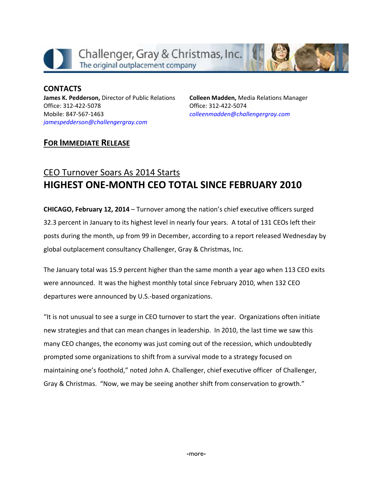

**CONTACTS James K. Pedderson,** Director of Public Relations Office: 312‐422‐5078 Mobile: 847‐567‐1463 *jamespedderson@challengergray.com*

**Colleen Madden,** Media Relations Manager Office: 312‐422‐5074 *colleenmadden@challengergray.com*

### **FOR IMMEDIATE RELEASE**

# CEO Turnover Soars As 2014 Starts **HIGHEST ONE‐MONTH CEO TOTAL SINCE FEBRUARY 2010**

**CHICAGO, February 12, 2014** – Turnover among the nation's chief executive officers surged 32.3 percent in January to its highest level in nearly four years. A total of 131 CEOs left their posts during the month, up from 99 in December, according to a report released Wednesday by global outplacement consultancy Challenger, Gray & Christmas, Inc.

The January total was 15.9 percent higher than the same month a year ago when 113 CEO exits were announced. It was the highest monthly total since February 2010, when 132 CEO departures were announced by U.S.‐based organizations.

"It is not unusual to see a surge in CEO turnover to start the year. Organizations often initiate new strategies and that can mean changes in leadership. In 2010, the last time we saw this many CEO changes, the economy was just coming out of the recession, which undoubtedly prompted some organizations to shift from a survival mode to a strategy focused on maintaining one's foothold," noted John A. Challenger, chief executive officer of Challenger, Gray & Christmas. "Now, we may be seeing another shift from conservation to growth."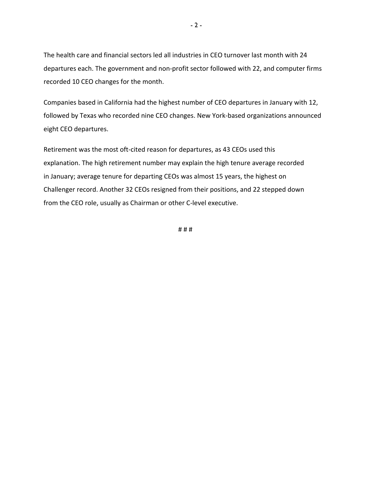The health care and financial sectors led all industries in CEO turnover last month with 24 departures each. The government and non‐profit sector followed with 22, and computer firms recorded 10 CEO changes for the month.

Companies based in California had the highest number of CEO departures in January with 12, followed by Texas who recorded nine CEO changes. New York‐based organizations announced eight CEO departures.

Retirement was the most oft‐cited reason for departures, as 43 CEOs used this explanation. The high retirement number may explain the high tenure average recorded in January; average tenure for departing CEOs was almost 15 years, the highest on Challenger record. Another 32 CEOs resigned from their positions, and 22 stepped down from the CEO role, usually as Chairman or other C‐level executive.

# # #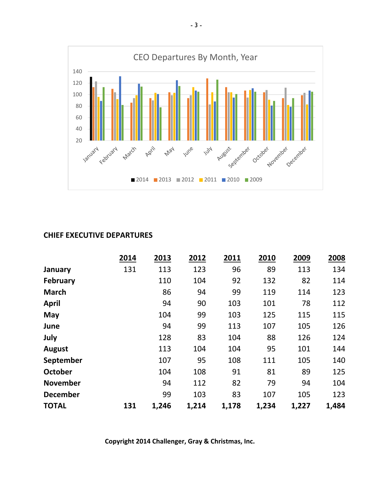

#### **CHIEF EXECUTIVE DEPARTURES**

|                 | 2014 | 2013  | 2012  | 2011  | 2010  | 2009  | 2008  |
|-----------------|------|-------|-------|-------|-------|-------|-------|
| January         | 131  | 113   | 123   | 96    | 89    | 113   | 134   |
| <b>February</b> |      | 110   | 104   | 92    | 132   | 82    | 114   |
| <b>March</b>    |      | 86    | 94    | 99    | 119   | 114   | 123   |
| <b>April</b>    |      | 94    | 90    | 103   | 101   | 78    | 112   |
| May             |      | 104   | 99    | 103   | 125   | 115   | 115   |
| June            |      | 94    | 99    | 113   | 107   | 105   | 126   |
| July            |      | 128   | 83    | 104   | 88    | 126   | 124   |
| <b>August</b>   |      | 113   | 104   | 104   | 95    | 101   | 144   |
| September       |      | 107   | 95    | 108   | 111   | 105   | 140   |
| <b>October</b>  |      | 104   | 108   | 91    | 81    | 89    | 125   |
| <b>November</b> |      | 94    | 112   | 82    | 79    | 94    | 104   |
| <b>December</b> |      | 99    | 103   | 83    | 107   | 105   | 123   |
| <b>TOTAL</b>    | 131  | 1,246 | 1,214 | 1,178 | 1,234 | 1,227 | 1,484 |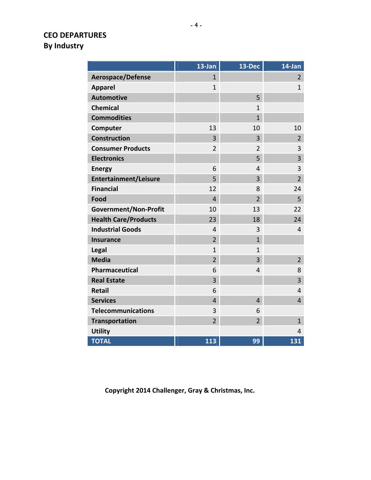# **CEO DEPARTURES By Industry**

|                              | 13-Jan         | 13-Dec         | 14-Jan         |
|------------------------------|----------------|----------------|----------------|
| <b>Aerospace/Defense</b>     | $\mathbf{1}$   |                | $\overline{2}$ |
| <b>Apparel</b>               | $\mathbf{1}$   |                | $\mathbf{1}$   |
| <b>Automotive</b>            |                | 5              |                |
| <b>Chemical</b>              |                | $\mathbf{1}$   |                |
| <b>Commodities</b>           |                | $\mathbf{1}$   |                |
| Computer                     | 13             | 10             | 10             |
| <b>Construction</b>          | 3              | 3              | $\overline{2}$ |
| <b>Consumer Products</b>     | $\overline{2}$ | $\overline{2}$ | 3              |
| <b>Electronics</b>           |                | 5              | 3              |
| <b>Energy</b>                | 6              | 4              | 3              |
| <b>Entertainment/Leisure</b> | 5              | 3              | $\overline{2}$ |
| <b>Financial</b>             | 12             | 8              | 24             |
| Food                         | $\overline{4}$ | $\overline{2}$ | 5              |
| Government/Non-Profit        | 10             | 13             | 22             |
| <b>Health Care/Products</b>  | 23             | 18             | 24             |
| <b>Industrial Goods</b>      | $\overline{4}$ | 3              | 4              |
| <b>Insurance</b>             | $\overline{2}$ | $\overline{1}$ |                |
| Legal                        | $\mathbf{1}$   | $\mathbf{1}$   |                |
| <b>Media</b>                 | $\overline{2}$ | 3              | $\overline{2}$ |
| <b>Pharmaceutical</b>        | 6              | 4              | 8              |
| <b>Real Estate</b>           | 3              |                | 3              |
| <b>Retail</b>                | 6              |                | 4              |
| <b>Services</b>              | $\overline{4}$ | $\overline{4}$ | $\overline{4}$ |
| <b>Telecommunications</b>    | 3              | 6              |                |
| <b>Transportation</b>        | $\overline{2}$ | $\overline{2}$ | $\mathbf{1}$   |
| <b>Utility</b>               |                |                | $\overline{4}$ |
| <b>TOTAL</b>                 | 113            | 99             | 131            |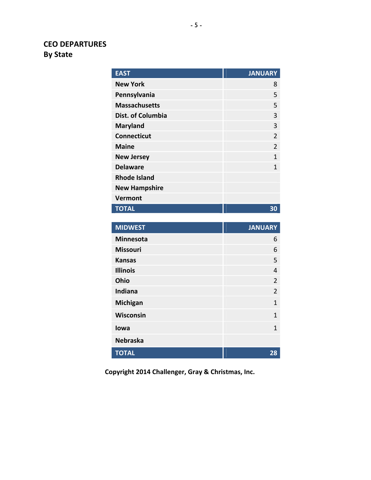# **CEO DEPARTURES By State**

| <b>EAST</b>              | <b>JANUARY</b> |
|--------------------------|----------------|
| <b>New York</b>          | 8              |
| Pennsylvania             | 5              |
| <b>Massachusetts</b>     | 5              |
| <b>Dist. of Columbia</b> | 3              |
| <b>Maryland</b>          | 3              |
| <b>Connecticut</b>       | $\overline{2}$ |
| <b>Maine</b>             | $\overline{2}$ |
| <b>New Jersey</b>        | $\overline{1}$ |
| <b>Delaware</b>          | $\overline{1}$ |
| <b>Rhode Island</b>      |                |
| <b>New Hampshire</b>     |                |
| <b>Vermont</b>           |                |
| <b>TOTAL</b>             | 30             |
|                          |                |
|                          |                |
| <b>MIDWEST</b>           | <b>JANUARY</b> |
| <b>Minnesota</b>         | 6              |
| <b>Missouri</b>          | 6              |
| <b>Kansas</b>            | 5              |
| <b>Illinois</b>          | 4              |
| Ohio                     | $\overline{2}$ |
| Indiana                  | $\overline{2}$ |
| Michigan                 | $\mathbf{1}$   |
| Wisconsin                | 1              |
| lowa                     | 1              |
| <b>Nebraska</b>          |                |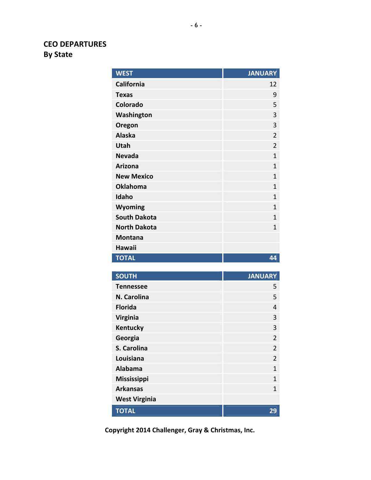# **CEO DEPARTURES By State**

| <b>WEST</b>                          | <b>JANUARY</b> |
|--------------------------------------|----------------|
| <b>California</b>                    | 12             |
| <b>Texas</b>                         | 9              |
| Colorado                             | 5              |
| Washington                           | 3              |
| Oregon                               | 3              |
| <b>Alaska</b>                        | $\overline{2}$ |
| <b>Utah</b>                          | $\overline{2}$ |
| <b>Nevada</b>                        | $\overline{1}$ |
| <b>Arizona</b>                       | $\mathbf{1}$   |
| <b>New Mexico</b>                    | $\mathbf{1}$   |
| <b>Oklahoma</b>                      | 1              |
| Idaho                                | $\mathbf{1}$   |
| <b>Wyoming</b>                       | 1              |
| <b>South Dakota</b>                  | 1              |
| <b>North Dakota</b>                  | 1              |
| <b>Montana</b>                       |                |
|                                      |                |
| <b>Hawaii</b>                        |                |
| <b>TOTAL</b>                         | 44             |
|                                      |                |
| <b>SOUTH</b>                         | <b>JANUARY</b> |
| <b>Tennessee</b>                     | 5              |
| N. Carolina                          | 5              |
| <b>Florida</b>                       | 4              |
| <b>Virginia</b>                      | 3              |
| <b>Kentucky</b>                      | 3              |
| Georgia                              | $\overline{2}$ |
| S. Carolina                          | $\overline{2}$ |
| Louisiana                            | 2              |
| <b>Alabama</b>                       | $\mathbf{1}$   |
| Mississippi                          | $\mathbf{1}$   |
| <b>Arkansas</b>                      | $\mathbf 1$    |
| <b>West Virginia</b><br><b>TOTAL</b> | 29             |